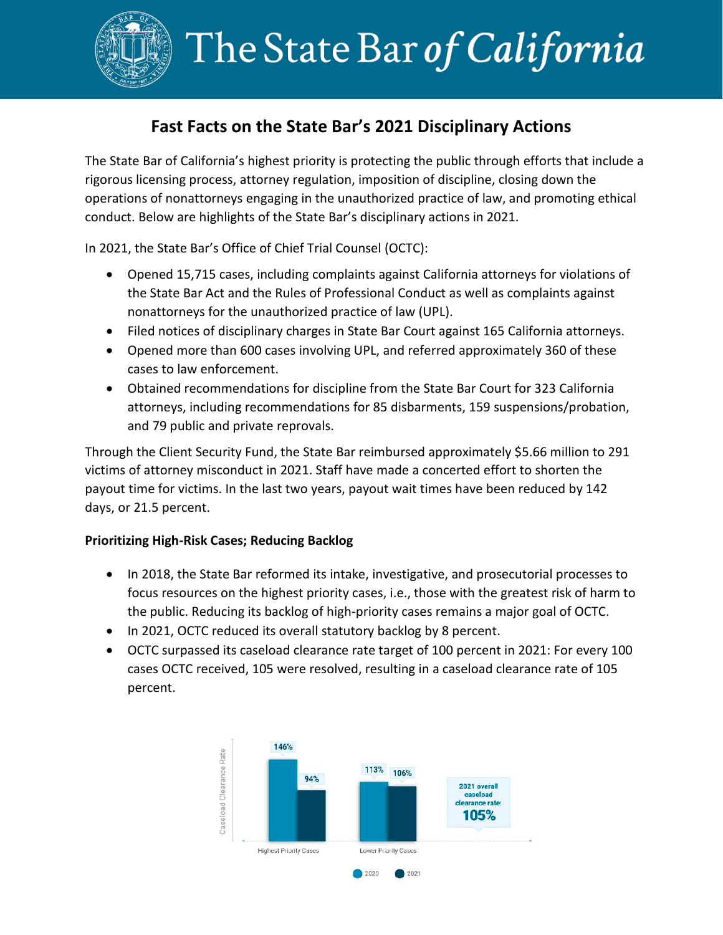

## **Fast Facts on the State Bar's 2021 Disciplinary Actions**

The State Bar of California's highest priority is protecting the public through efforts that include a rigorous licensing process, attorney regulation, imposition of discipline, closing down the operations of nonattorneys engaging in the unauthorized practice of law, and promoting ethical conduct. Below are highlights of the State Bar's disciplinary actions in 2021.

In 2021, the State Bar's Office of Chief Trial Counsel (OCTC):

- Opened 15,715 cases, including complaints against California attorneys for violations of the State Bar Act and the Rules of Professional Conduct as well as complaints against nonattorneys for the unauthorized practice of law (UPL).
- Filed notices of disciplinary charges in State Bar Court against 165 California attorneys.
- Opened more than 600 cases involving UPL, and referred approximately 360 of these cases to law enforcement.
- Obtained recommendations for discipline from the State Bar Court for 323 California attorneys, including recommendations for 85 disbarments, 159 suspensions/probation, and 79 public and private reprovals.

Through the Client Security Fund, the State Bar reimbursed approximately \$5.66 million to 291 victims of attorney misconduct in 2021. Staff have made a concerted effort to shorten the payout time for victims. In the last two years, payout wait times have been reduced by 142 days, or 21.5 percent.

## **Prioritizing High-Risk Cases; Reducing Backlog**

- In 2018, the State Bar reformed its intake, investigative, and prosecutorial processes to focus resources on the highest priority cases, i.e., those with the greatest risk of harm to the public. Reducing its backlog of high-priority cases remains a major goal of OCTC.
- In 2021, OCTC reduced its overall statutory backlog by 8 percent.
- OCTC surpassed its caseload clearance rate target of 100 percent in 2021: For every 100 cases OCTC received, 105 were resolved, resulting in a caseload clearance rate of 105 percent.